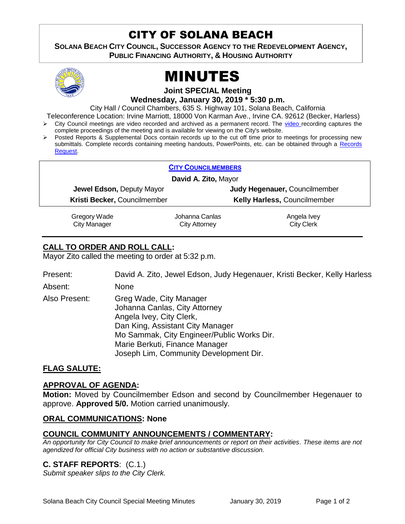# CITY OF SOLANA BEACH

**SOLANA BEACH CITY COUNCIL, SUCCESSOR AGENCY TO THE REDEVELOPMENT AGENCY, PUBLIC FINANCING AUTHORITY, & HOUSING AUTHORITY** 



# MINUTES

**Joint SPECIAL Meeting**

**Wednesday, January 30, 2019 \* 5:30 p.m.**

City Hall / Council Chambers, 635 S. Highway 101, Solana Beach, California

Teleconference Location: Irvine Marriott, 18000 Von Karman Ave., Irvine CA. 92612 (Becker, Harless)

- City Council meetings are video recorded and archived as a permanent record. The [video r](https://solanabeach.12milesout.com/#page=1)ecording captures the complete proceedings of the meeting and is available for viewing on the City's website.
- Posted Reports & Supplemental Docs contain records up to the cut off time prior to meetings for processing new submittals. Complete records containing meeting handouts, PowerPoints, etc. can be obtained through a [Records](http://www.ci.solana-beach.ca.us/index.asp?SEC=F5D45D10-70CE-4291-A27C-7BD633FC6742&Type=B_BASIC)  [Request.](http://www.ci.solana-beach.ca.us/index.asp?SEC=F5D45D10-70CE-4291-A27C-7BD633FC6742&Type=B_BASIC)

|                              | <b>CITY COUNCILMEMBERS</b> |                               |  |
|------------------------------|----------------------------|-------------------------------|--|
| David A. Zito, Mayor         |                            |                               |  |
| Jewel Edson, Deputy Mayor    |                            | Judy Hegenauer, Councilmember |  |
| Kristi Becker, Councilmember |                            | Kelly Harless, Councilmember  |  |
| Gregory Wade                 | Johanna Canlas             | Angela Ivey                   |  |
| <b>City Manager</b>          | <b>City Attorney</b>       | <b>City Clerk</b>             |  |

# **CALL TO ORDER AND ROLL CALL:**

Mayor Zito called the meeting to order at 5:32 p.m.

| Present:      | David A. Zito, Jewel Edson, Judy Hegenauer, Kristi Becker, Kelly Harless                                                                                                                                                                           |
|---------------|----------------------------------------------------------------------------------------------------------------------------------------------------------------------------------------------------------------------------------------------------|
| Absent:       | None                                                                                                                                                                                                                                               |
| Also Present: | Greg Wade, City Manager<br>Johanna Canlas, City Attorney<br>Angela Ivey, City Clerk,<br>Dan King, Assistant City Manager<br>Mo Sammak, City Engineer/Public Works Dir.<br>Marie Berkuti, Finance Manager<br>Joseph Lim, Community Development Dir. |

# **FLAG SALUTE:**

### **APPROVAL OF AGENDA:**

**Motion:** Moved by Councilmember Edson and second by Councilmember Hegenauer to approve. **Approved 5/0.** Motion carried unanimously.

### **ORAL COMMUNICATIONS: None**

# **COUNCIL COMMUNITY ANNOUNCEMENTS / COMMENTARY:**

*An opportunity for City Council to make brief announcements or report on their activities. These items are not agendized for official City business with no action or substantive discussion.* 

# **C. STAFF REPORTS**: (C.1.)

*Submit speaker slips to the City Clerk.*